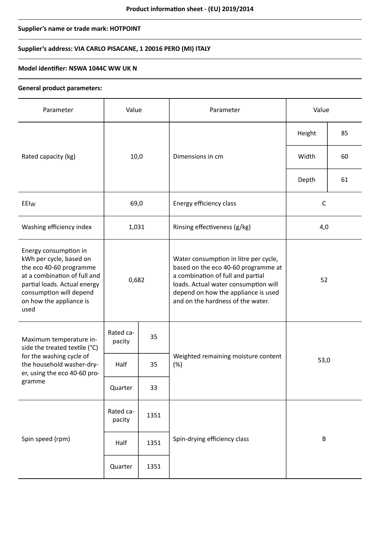# **Supplier's name or trade mark: HOTPOINT**

# **Supplier's address: VIA CARLO PISACANE, 1 20016 PERO (MI) ITALY**

### **Model identifier: NSWA 1044C WW UK N**

#### **General product parameters:**

| Parameter                                                                                                                                                                                                 | Value               |      | Parameter                                                                                                                                                                                                                             | Value        |    |
|-----------------------------------------------------------------------------------------------------------------------------------------------------------------------------------------------------------|---------------------|------|---------------------------------------------------------------------------------------------------------------------------------------------------------------------------------------------------------------------------------------|--------------|----|
|                                                                                                                                                                                                           | 10,0                |      | Dimensions in cm                                                                                                                                                                                                                      | Height       | 85 |
| Rated capacity (kg)                                                                                                                                                                                       |                     |      |                                                                                                                                                                                                                                       | Width        | 60 |
|                                                                                                                                                                                                           |                     |      |                                                                                                                                                                                                                                       | Depth        | 61 |
| EEIw                                                                                                                                                                                                      | 69,0                |      | Energy efficiency class                                                                                                                                                                                                               | $\mathsf{C}$ |    |
| Washing efficiency index                                                                                                                                                                                  | 1,031               |      | Rinsing effectiveness (g/kg)                                                                                                                                                                                                          | 4,0          |    |
| Energy consumption in<br>kWh per cycle, based on<br>the eco 40-60 programme<br>at a combination of full and<br>partial loads. Actual energy<br>consumption will depend<br>on how the appliance is<br>used | 0,682               |      | Water consumption in litre per cycle,<br>based on the eco 40-60 programme at<br>a combination of full and partial<br>loads. Actual water consumption will<br>depend on how the appliance is used<br>and on the hardness of the water. | 52           |    |
| Maximum temperature in-<br>side the treated textile (°C)<br>for the washing cycle of<br>the household washer-dry-<br>er, using the eco 40-60 pro-<br>gramme                                               | Rated ca-<br>pacity | 35   | Weighted remaining moisture content<br>(%)                                                                                                                                                                                            | 53,0         |    |
|                                                                                                                                                                                                           | Half                | 35   |                                                                                                                                                                                                                                       |              |    |
|                                                                                                                                                                                                           | Quarter             | 33   |                                                                                                                                                                                                                                       |              |    |
| Spin speed (rpm)                                                                                                                                                                                          | Rated ca-<br>pacity | 1351 |                                                                                                                                                                                                                                       | $\sf B$      |    |
|                                                                                                                                                                                                           | Half                | 1351 | Spin-drying efficiency class                                                                                                                                                                                                          |              |    |
|                                                                                                                                                                                                           | Quarter             | 1351 |                                                                                                                                                                                                                                       |              |    |